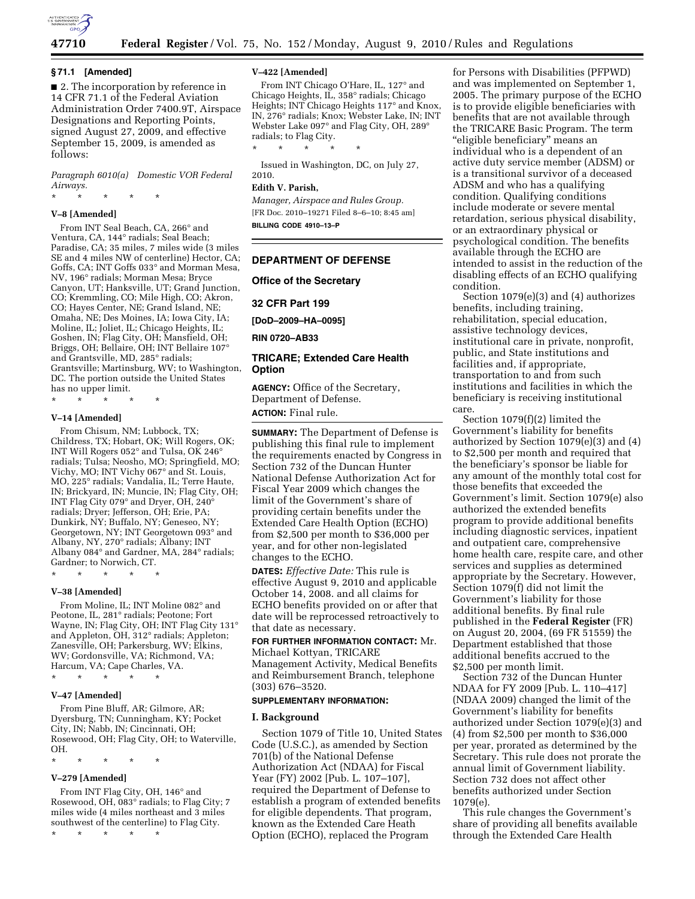

#### **§ 71.1 [Amended]**

■ 2. The incorporation by reference in 14 CFR 71.1 of the Federal Aviation Administration Order 7400.9T, Airspace Designations and Reporting Points, signed August 27, 2009, and effective September 15, 2009, is amended as follows:

*Paragraph 6010(a) Domestic VOR Federal Airways.* 

\* \* \* \* \*

## **V–8 [Amended]**

From INT Seal Beach, CA, 266° and Ventura, CA, 144° radials; Seal Beach; Paradise, CA; 35 miles, 7 miles wide (3 miles SE and 4 miles NW of centerline) Hector, CA; Goffs, CA; INT Goffs 033° and Morman Mesa, NV, 196° radials; Morman Mesa; Bryce Canyon, UT; Hanksville, UT; Grand Junction, CO; Kremmling, CO; Mile High, CO; Akron, CO; Hayes Center, NE; Grand Island, NE; Omaha, NE; Des Moines, IA; Iowa City, IA; Moline, IL; Joliet, IL; Chicago Heights, IL; Goshen, IN; Flag City, OH; Mansfield, OH; Briggs, OH; Bellaire, OH; INT Bellaire 107° and Grantsville, MD, 285° radials; Grantsville; Martinsburg, WV; to Washington, DC. The portion outside the United States has no upper limit.

\* \* \* \* \*

#### **V–14 [Amended]**

From Chisum, NM; Lubbock, TX; Childress, TX; Hobart, OK; Will Rogers, OK; INT Will Rogers 052° and Tulsa, OK 246° radials; Tulsa; Neosho, MO; Springfield, MO; Vichy, MO; INT Vichy 067° and St. Louis, MO, 225° radials; Vandalia, IL; Terre Haute, IN; Brickyard, IN; Muncie, IN; Flag City, OH; INT Flag City 079° and Dryer, OH, 240° radials; Dryer; Jefferson, OH; Erie, PA; Dunkirk, NY; Buffalo, NY; Geneseo, NY; Georgetown, NY; INT Georgetown 093° and Albany, NY, 270° radials; Albany; INT Albany 084° and Gardner, MA, 284° radials; Gardner; to Norwich, CT.

\* \* \* \* \*

#### **V–38 [Amended]**

From Moline, IL; INT Moline 082° and Peotone, IL, 281° radials; Peotone; Fort Wayne, IN; Flag City, OH; INT Flag City 131° and Appleton, OH, 312° radials; Appleton; Zanesville, OH; Parkersburg, WV; Elkins, WV; Gordonsville, VA; Richmond, VA; Harcum, VA; Cape Charles, VA.

\* \* \* \* \*

## **V–47 [Amended]**

From Pine Bluff, AR; Gilmore, AR; Dyersburg, TN; Cunningham, KY; Pocket City, IN; Nabb, IN; Cincinnati, OH; Rosewood, OH; Flag City, OH; to Waterville, OH.

#### \* \* \* \* \*

# **V–279 [Amended]**

From INT Flag City, OH, 146° and Rosewood, OH, 083° radials; to Flag City; 7 miles wide (4 miles northeast and 3 miles southwest of the centerline) to Flag City.

\* \* \* \* \*

#### **V–422 [Amended]**

From INT Chicago O'Hare, IL, 127° and Chicago Heights, IL, 358° radials; Chicago Heights; INT Chicago Heights 117° and Knox, IN, 276° radials; Knox; Webster Lake, IN; INT Webster Lake 097° and Flag City, OH, 289° radials; to Flag City.

\* \* \* \* \*

Issued in Washington, DC, on July 27, 2010.

#### **Edith V. Parish,**

*Manager, Airspace and Rules Group.*  [FR Doc. 2010–19271 Filed 8–6–10; 8:45 am] **BILLING CODE 4910–13–P** 

#### **DEPARTMENT OF DEFENSE**

**Office of the Secretary** 

**32 CFR Part 199** 

**[DoD–2009–HA–0095]** 

**RIN 0720–AB33** 

#### **TRICARE; Extended Care Health Option**

**AGENCY:** Office of the Secretary, Department of Defense. **ACTION:** Final rule.

**SUMMARY:** The Department of Defense is publishing this final rule to implement the requirements enacted by Congress in Section 732 of the Duncan Hunter National Defense Authorization Act for Fiscal Year 2009 which changes the limit of the Government's share of providing certain benefits under the Extended Care Health Option (ECHO) from \$2,500 per month to \$36,000 per year, and for other non-legislated changes to the ECHO.

**DATES:** *Effective Date:* This rule is effective August 9, 2010 and applicable October 14, 2008. and all claims for ECHO benefits provided on or after that date will be reprocessed retroactively to that date as necessary.

## **FOR FURTHER INFORMATION CONTACT:** Mr. Michael Kottyan, TRICARE

Management Activity, Medical Benefits and Reimbursement Branch, telephone (303) 676–3520.

#### **SUPPLEMENTARY INFORMATION:**

#### **I. Background**

Section 1079 of Title 10, United States Code (U.S.C.), as amended by Section 701(b) of the National Defense Authorization Act (NDAA) for Fiscal Year (FY) 2002 [Pub. L. 107–107], required the Department of Defense to establish a program of extended benefits for eligible dependents. That program, known as the Extended Care Heath Option (ECHO), replaced the Program

for Persons with Disabilities (PFPWD) and was implemented on September 1, 2005. The primary purpose of the ECHO is to provide eligible beneficiaries with benefits that are not available through the TRICARE Basic Program. The term ''eligible beneficiary'' means an individual who is a dependent of an active duty service member (ADSM) or is a transitional survivor of a deceased ADSM and who has a qualifying condition. Qualifying conditions include moderate or severe mental retardation, serious physical disability, or an extraordinary physical or psychological condition. The benefits available through the ECHO are intended to assist in the reduction of the disabling effects of an ECHO qualifying condition.

Section 1079(e)(3) and (4) authorizes benefits, including training, rehabilitation, special education, assistive technology devices, institutional care in private, nonprofit, public, and State institutions and facilities and, if appropriate, transportation to and from such institutions and facilities in which the beneficiary is receiving institutional care.

Section 1079(f)(2) limited the Government's liability for benefits authorized by Section 1079(e)(3) and (4) to \$2,500 per month and required that the beneficiary's sponsor be liable for any amount of the monthly total cost for those benefits that exceeded the Government's limit. Section 1079(e) also authorized the extended benefits program to provide additional benefits including diagnostic services, inpatient and outpatient care, comprehensive home health care, respite care, and other services and supplies as determined appropriate by the Secretary. However, Section 1079(f) did not limit the Government's liability for those additional benefits. By final rule published in the **Federal Register** (FR) on August 20, 2004, (69 FR 51559) the Department established that those additional benefits accrued to the \$2,500 per month limit.

Section 732 of the Duncan Hunter NDAA for FY 2009 [Pub. L. 110–417] (NDAA 2009) changed the limit of the Government's liability for benefits authorized under Section 1079(e)(3) and (4) from \$2,500 per month to \$36,000 per year, prorated as determined by the Secretary. This rule does not prorate the annual limit of Government liability. Section 732 does not affect other benefits authorized under Section 1079(e).

This rule changes the Government's share of providing all benefits available through the Extended Care Health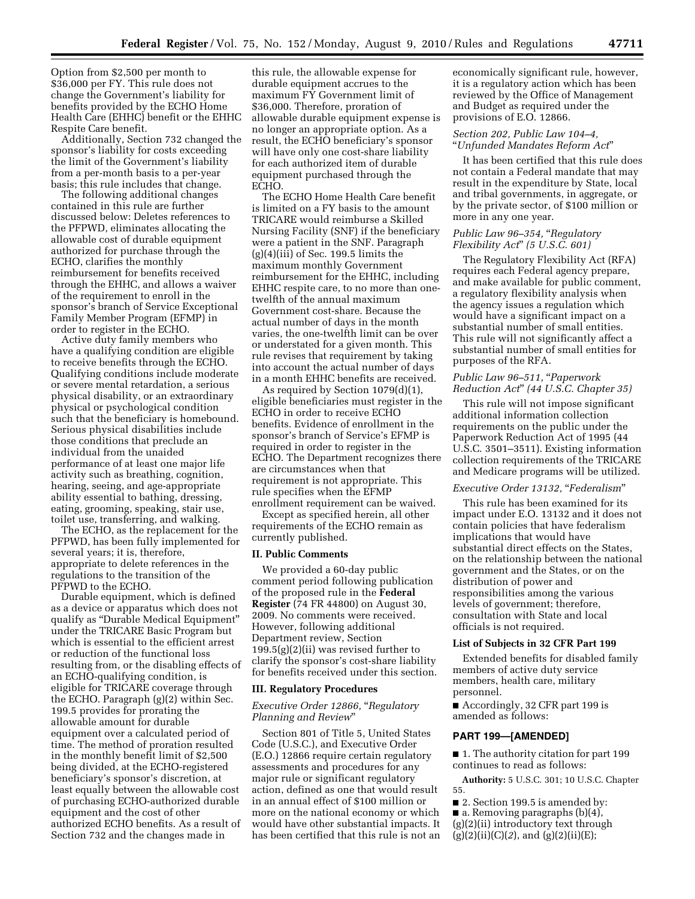Option from \$2,500 per month to \$36,000 per FY. This rule does not change the Government's liability for benefits provided by the ECHO Home Health Care (EHHC) benefit or the EHHC Respite Care benefit.

Additionally, Section 732 changed the sponsor's liability for costs exceeding the limit of the Government's liability from a per-month basis to a per-year basis; this rule includes that change.

The following additional changes contained in this rule are further discussed below: Deletes references to the PFPWD, eliminates allocating the allowable cost of durable equipment authorized for purchase through the ECHO, clarifies the monthly reimbursement for benefits received through the EHHC, and allows a waiver of the requirement to enroll in the sponsor's branch of Service Exceptional Family Member Program (EFMP) in order to register in the ECHO.

Active duty family members who have a qualifying condition are eligible to receive benefits through the ECHO. Qualifying conditions include moderate or severe mental retardation, a serious physical disability, or an extraordinary physical or psychological condition such that the beneficiary is homebound. Serious physical disabilities include those conditions that preclude an individual from the unaided performance of at least one major life activity such as breathing, cognition, hearing, seeing, and age-appropriate ability essential to bathing, dressing, eating, grooming, speaking, stair use, toilet use, transferring, and walking.

The ECHO, as the replacement for the PFPWD, has been fully implemented for several years; it is, therefore, appropriate to delete references in the regulations to the transition of the PFPWD to the ECHO.

Durable equipment, which is defined as a device or apparatus which does not qualify as ''Durable Medical Equipment'' under the TRICARE Basic Program but which is essential to the efficient arrest or reduction of the functional loss resulting from, or the disabling effects of an ECHO-qualifying condition, is eligible for TRICARE coverage through the ECHO. Paragraph (g)(2) within Sec. 199.5 provides for prorating the allowable amount for durable equipment over a calculated period of time. The method of proration resulted in the monthly benefit limit of \$2,500 being divided, at the ECHO-registered beneficiary's sponsor's discretion, at least equally between the allowable cost of purchasing ECHO-authorized durable equipment and the cost of other authorized ECHO benefits. As a result of Section 732 and the changes made in

this rule, the allowable expense for durable equipment accrues to the maximum FY Government limit of \$36,000. Therefore, proration of allowable durable equipment expense is no longer an appropriate option. As a result, the ECHO beneficiary's sponsor will have only one cost-share liability for each authorized item of durable equipment purchased through the ECHO.

The ECHO Home Health Care benefit is limited on a FY basis to the amount TRICARE would reimburse a Skilled Nursing Facility (SNF) if the beneficiary were a patient in the SNF. Paragraph  $(g)(4)(iii)$  of Sec. 199.5 limits the maximum monthly Government reimbursement for the EHHC, including EHHC respite care, to no more than onetwelfth of the annual maximum Government cost-share. Because the actual number of days in the month varies, the one-twelfth limit can be over or understated for a given month. This rule revises that requirement by taking into account the actual number of days in a month EHHC benefits are received.

As required by Section 1079(d)(1), eligible beneficiaries must register in the ECHO in order to receive ECHO benefits. Evidence of enrollment in the sponsor's branch of Service's EFMP is required in order to register in the ECHO. The Department recognizes there are circumstances when that requirement is not appropriate. This rule specifies when the EFMP enrollment requirement can be waived.

Except as specified herein, all other requirements of the ECHO remain as currently published.

#### **II. Public Comments**

We provided a 60-day public comment period following publication of the proposed rule in the **Federal Register** (74 FR 44800) on August 30, 2009. No comments were received. However, following additional Department review, Section 199.5(g)(2)(ii) was revised further to clarify the sponsor's cost-share liability for benefits received under this section.

#### **III. Regulatory Procedures**

## *Executive Order 12866,* ''*Regulatory Planning and Review*''

Section 801 of Title 5, United States Code (U.S.C.), and Executive Order (E.O.) 12866 require certain regulatory assessments and procedures for any major rule or significant regulatory action, defined as one that would result in an annual effect of \$100 million or more on the national economy or which would have other substantial impacts. It has been certified that this rule is not an

economically significant rule, however, it is a regulatory action which has been reviewed by the Office of Management and Budget as required under the provisions of E.O. 12866.

#### *Section 202, Public Law 104–4,*  ''*Unfunded Mandates Reform Act*''

It has been certified that this rule does not contain a Federal mandate that may result in the expenditure by State, local and tribal governments, in aggregate, or by the private sector, of \$100 million or more in any one year.

## *Public Law 96–354,* ''*Regulatory Flexibility Act*'' *(5 U.S.C. 601)*

The Regulatory Flexibility Act (RFA) requires each Federal agency prepare, and make available for public comment, a regulatory flexibility analysis when the agency issues a regulation which would have a significant impact on a substantial number of small entities. This rule will not significantly affect a substantial number of small entities for purposes of the RFA.

### *Public Law 96–511,* ''*Paperwork Reduction Act*'' *(44 U.S.C. Chapter 35)*

This rule will not impose significant additional information collection requirements on the public under the Paperwork Reduction Act of 1995 (44 U.S.C. 3501–3511). Existing information collection requirements of the TRICARE and Medicare programs will be utilized.

## *Executive Order 13132,* ''*Federalism*''

This rule has been examined for its impact under E.O. 13132 and it does not contain policies that have federalism implications that would have substantial direct effects on the States, on the relationship between the national government and the States, or on the distribution of power and responsibilities among the various levels of government; therefore, consultation with State and local officials is not required.

## **List of Subjects in 32 CFR Part 199**

Extended benefits for disabled family members of active duty service members, health care, military personnel.

■ Accordingly, 32 CFR part 199 is amended as follows:

# **PART 199—[AMENDED]**

■ 1. The authority citation for part 199 continues to read as follows:

**Authority:** 5 U.S.C. 301; 10 U.S.C. Chapter 55.

- 2. Section 199.5 is amended by:
- a. Removing paragraphs (b)(4),
- (g)(2)(ii) introductory text through
- (g)(2)(ii)(C)(*2*), and (g)(2)(ii)(E);